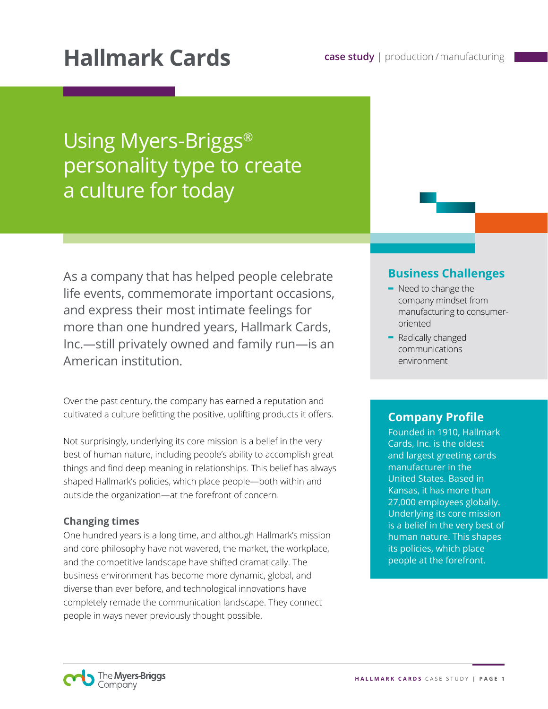# Hallmark Cards **case study | production / manufacturing**

Using Myers-Briggs® personality type to create a culture for today

As a company that has helped people celebrate life events, commemorate important occasions, and express their most intimate feelings for more than one hundred years, Hallmark Cards, Inc.—still privately owned and family run—is an American institution.

Over the past century, the company has earned a reputation and cultivated a culture befitting the positive, uplifting products it offers.

Not surprisingly, underlying its core mission is a belief in the very best of human nature, including people's ability to accomplish great things and find deep meaning in relationships. This belief has always shaped Hallmark's policies, which place people—both within and outside the organization—at the forefront of concern.

#### **Changing times**

One hundred years is a long time, and although Hallmark's mission and core philosophy have not wavered, the market, the workplace, and the competitive landscape have shifted dramatically. The business environment has become more dynamic, global, and diverse than ever before, and technological innovations have completely remade the communication landscape. They connect people in ways never previously thought possible.

### **Business Challenges**

- **-** Need to change the company mindset from manufacturing to consumeroriented
- **-** Radically changed communications environment

### **Company Profile**

Founded in 1910, Hallmark Cards, Inc. is the oldest and largest greeting cards manufacturer in the United States. Based in Kansas, it has more than 27,000 employees globally. Underlying its core mission is a belief in the very best of human nature. This shapes its policies, which place people at the forefront.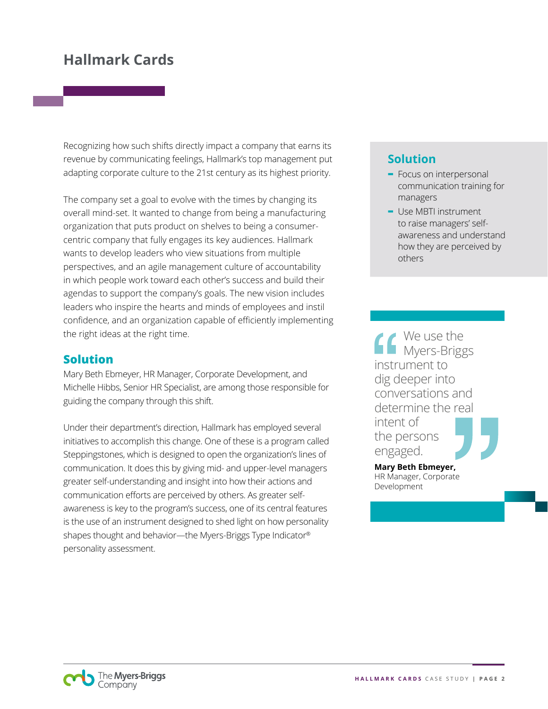Recognizing how such shifts directly impact a company that earns its revenue by communicating feelings, Hallmark's top management put adapting corporate culture to the 21st century as its highest priority.

The company set a goal to evolve with the times by changing its overall mind-set. It wanted to change from being a manufacturing organization that puts product on shelves to being a consumercentric company that fully engages its key audiences. Hallmark wants to develop leaders who view situations from multiple perspectives, and an agile management culture of accountability in which people work toward each other's success and build their agendas to support the company's goals. The new vision includes leaders who inspire the hearts and minds of employees and instil confidence, and an organization capable of efficiently implementing the right ideas at the right time.

### **Solution**

Mary Beth Ebmeyer, HR Manager, Corporate Development, and Michelle Hibbs, Senior HR Specialist, are among those responsible for guiding the company through this shift.

Under their department's direction, Hallmark has employed several initiatives to accomplish this change. One of these is a program called Steppingstones, which is designed to open the organization's lines of communication. It does this by giving mid- and upper-level managers greater self-understanding and insight into how their actions and communication efforts are perceived by others. As greater selfawareness is key to the program's success, one of its central features is the use of an instrument designed to shed light on how personality shapes thought and behavior—the Myers-Briggs Type Indicator® personality assessment.

### **Solution**

- **-** Focus on interpersonal communication training for managers
- **-** Use MBTI instrument to raise managers' selfawareness and understand how they are perceived by others

We use the Myers-Briggs instrument to dig deeper into conversations and determine the real intent of the persons engaged.

**Mary Beth Ebmeyer,**  HR Manager, Corporate Development

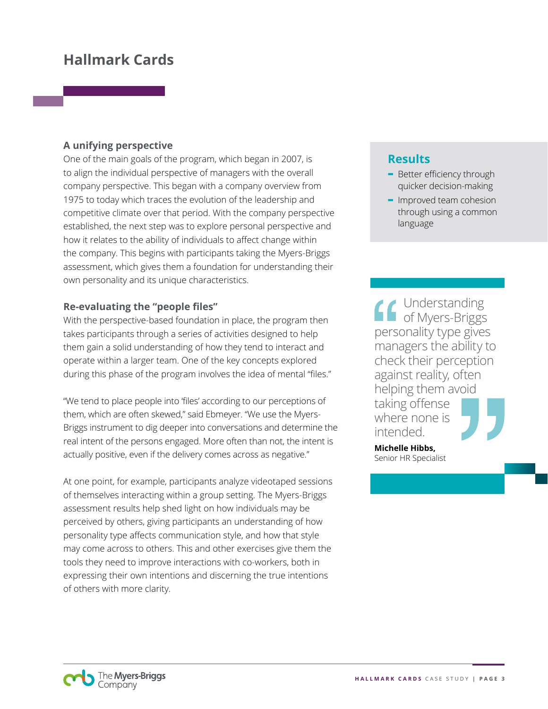#### **A unifying perspective**

One of the main goals of the program, which began in 2007, is to align the individual perspective of managers with the overall company perspective. This began with a company overview from 1975 to today which traces the evolution of the leadership and competitive climate over that period. With the company perspective established, the next step was to explore personal perspective and how it relates to the ability of individuals to affect change within the company. This begins with participants taking the Myers-Briggs assessment, which gives them a foundation for understanding their own personality and its unique characteristics.

#### **Re-evaluating the "people files"**

With the perspective-based foundation in place, the program then takes participants through a series of activities designed to help them gain a solid understanding of how they tend to interact and operate within a larger team. One of the key concepts explored during this phase of the program involves the idea of mental "files."

"We tend to place people into 'files' according to our perceptions of them, which are often skewed," said Ebmeyer. "We use the Myers-Briggs instrument to dig deeper into conversations and determine the real intent of the persons engaged. More often than not, the intent is actually positive, even if the delivery comes across as negative."

At one point, for example, participants analyze videotaped sessions of themselves interacting within a group setting. The Myers-Briggs assessment results help shed light on how individuals may be perceived by others, giving participants an understanding of how personality type affects communication style, and how that style may come across to others. This and other exercises give them the tools they need to improve interactions with co-workers, both in expressing their own intentions and discerning the true intentions of others with more clarity.

### **Results**

- **-** Better efficiency through quicker decision-making
- **-** Improved team cohesion through using a common language

Understanding of Myers-Briggs personality type gives managers the ability to check their perception against reality, often helping them avoid taking offense where none is intended.

**Michelle Hibbs,**  Senior HR Specialist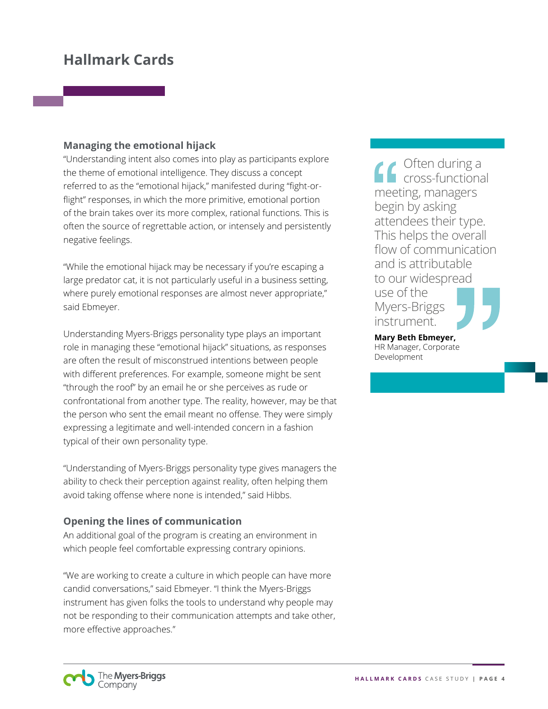#### **Managing the emotional hijack**

"Understanding intent also comes into play as participants explore the theme of emotional intelligence. They discuss a concept referred to as the "emotional hijack," manifested during "fight-orflight" responses, in which the more primitive, emotional portion of the brain takes over its more complex, rational functions. This is often the source of regrettable action, or intensely and persistently negative feelings.

"While the emotional hijack may be necessary if you're escaping a large predator cat, it is not particularly useful in a business setting, where purely emotional responses are almost never appropriate," said Ebmeyer.

Understanding Myers-Briggs personality type plays an important role in managing these "emotional hijack" situations, as responses are often the result of misconstrued intentions between people with different preferences. For example, someone might be sent "through the roof" by an email he or she perceives as rude or confrontational from another type. The reality, however, may be that the person who sent the email meant no offense. They were simply expressing a legitimate and well-intended concern in a fashion typical of their own personality type.

"Understanding of Myers-Briggs personality type gives managers the ability to check their perception against reality, often helping them avoid taking offense where none is intended," said Hibbs.

#### **Opening the lines of communication**

An additional goal of the program is creating an environment in which people feel comfortable expressing contrary opinions.

"We are working to create a culture in which people can have more candid conversations," said Ebmeyer. "I think the Myers-Briggs instrument has given folks the tools to understand why people may not be responding to their communication attempts and take other, more effective approaches."

Often during a cross-functional meeting, managers begin by asking attendees their type. This helps the overall flow of communication and is attributable to our widespread use of the Myers-Briggs instrument.

**Mary Beth Ebmeyer,**  HR Manager, Corporate Development

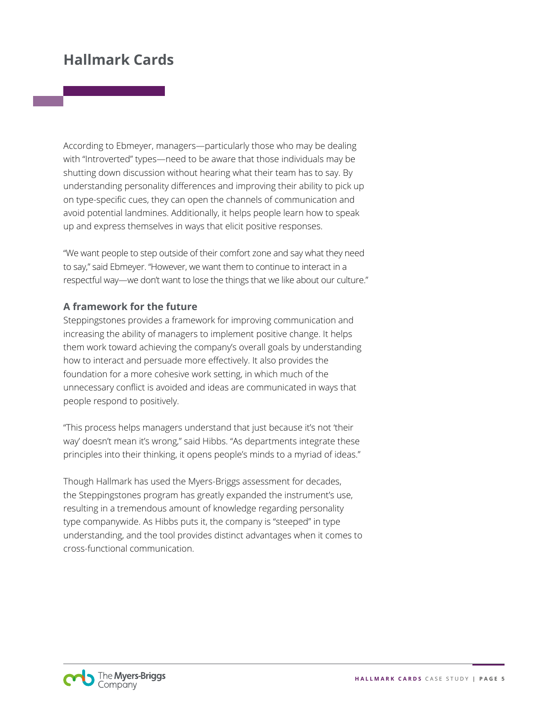According to Ebmeyer, managers—particularly those who may be dealing with "Introverted" types—need to be aware that those individuals may be shutting down discussion without hearing what their team has to say. By understanding personality differences and improving their ability to pick up on type-specific cues, they can open the channels of communication and avoid potential landmines. Additionally, it helps people learn how to speak up and express themselves in ways that elicit positive responses.

"We want people to step outside of their comfort zone and say what they need to say," said Ebmeyer. "However, we want them to continue to interact in a respectful way—we don't want to lose the things that we like about our culture."

#### **A framework for the future**

Steppingstones provides a framework for improving communication and increasing the ability of managers to implement positive change. It helps them work toward achieving the company's overall goals by understanding how to interact and persuade more effectively. It also provides the foundation for a more cohesive work setting, in which much of the unnecessary conflict is avoided and ideas are communicated in ways that people respond to positively.

"This process helps managers understand that just because it's not 'their way' doesn't mean it's wrong," said Hibbs. "As departments integrate these principles into their thinking, it opens people's minds to a myriad of ideas."

Though Hallmark has used the Myers-Briggs assessment for decades, the Steppingstones program has greatly expanded the instrument's use, resulting in a tremendous amount of knowledge regarding personality type companywide. As Hibbs puts it, the company is "steeped" in type understanding, and the tool provides distinct advantages when it comes to cross-functional communication.

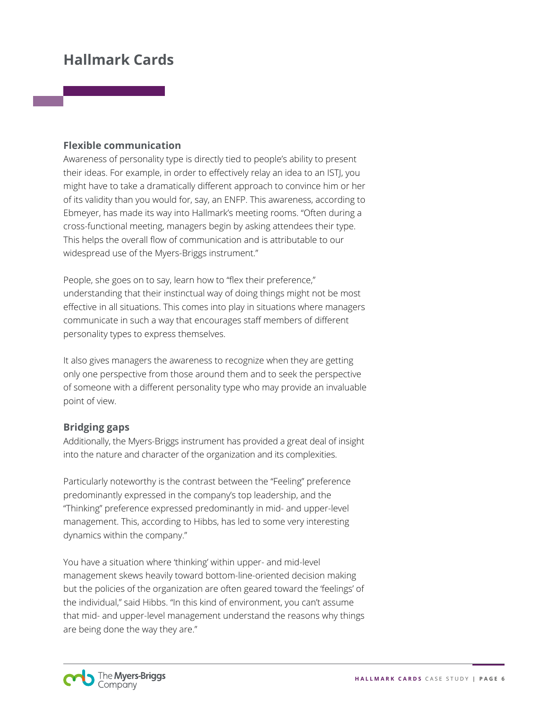#### **Flexible communication**

Awareness of personality type is directly tied to people's ability to present their ideas. For example, in order to effectively relay an idea to an ISTJ, you might have to take a dramatically different approach to convince him or her of its validity than you would for, say, an ENFP. This awareness, according to Ebmeyer, has made its way into Hallmark's meeting rooms. "Often during a cross-functional meeting, managers begin by asking attendees their type. This helps the overall flow of communication and is attributable to our widespread use of the Myers-Briggs instrument."

People, she goes on to say, learn how to "flex their preference," understanding that their instinctual way of doing things might not be most effective in all situations. This comes into play in situations where managers communicate in such a way that encourages staff members of different personality types to express themselves.

It also gives managers the awareness to recognize when they are getting only one perspective from those around them and to seek the perspective of someone with a different personality type who may provide an invaluable point of view.

#### **Bridging gaps**

Additionally, the Myers-Briggs instrument has provided a great deal of insight into the nature and character of the organization and its complexities.

Particularly noteworthy is the contrast between the "Feeling" preference predominantly expressed in the company's top leadership, and the "Thinking" preference expressed predominantly in mid- and upper-level management. This, according to Hibbs, has led to some very interesting dynamics within the company."

You have a situation where 'thinking' within upper- and mid-level management skews heavily toward bottom-line-oriented decision making but the policies of the organization are often geared toward the 'feelings' of the individual," said Hibbs. "In this kind of environment, you can't assume that mid- and upper-level management understand the reasons why things are being done the way they are."

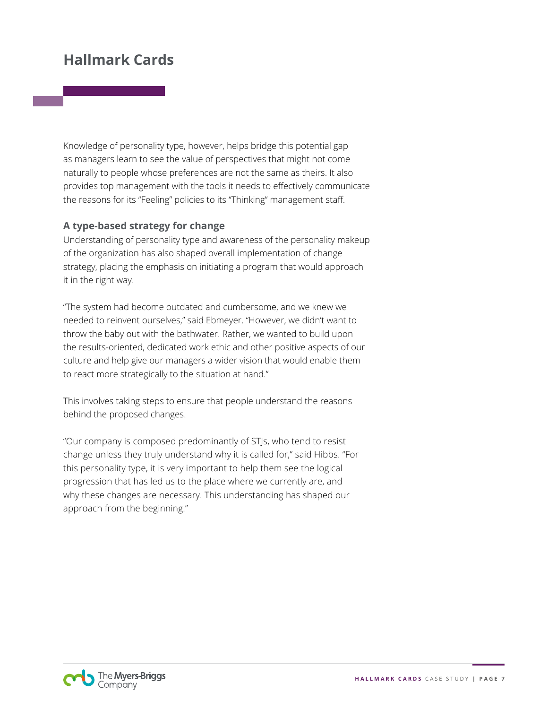Knowledge of personality type, however, helps bridge this potential gap as managers learn to see the value of perspectives that might not come naturally to people whose preferences are not the same as theirs. It also provides top management with the tools it needs to effectively communicate the reasons for its "Feeling" policies to its "Thinking" management staff.

#### **A type-based strategy for change**

Understanding of personality type and awareness of the personality makeup of the organization has also shaped overall implementation of change strategy, placing the emphasis on initiating a program that would approach it in the right way.

"The system had become outdated and cumbersome, and we knew we needed to reinvent ourselves," said Ebmeyer. "However, we didn't want to throw the baby out with the bathwater. Rather, we wanted to build upon the results-oriented, dedicated work ethic and other positive aspects of our culture and help give our managers a wider vision that would enable them to react more strategically to the situation at hand."

This involves taking steps to ensure that people understand the reasons behind the proposed changes.

"Our company is composed predominantly of STJs, who tend to resist change unless they truly understand why it is called for," said Hibbs. "For this personality type, it is very important to help them see the logical progression that has led us to the place where we currently are, and why these changes are necessary. This understanding has shaped our approach from the beginning."

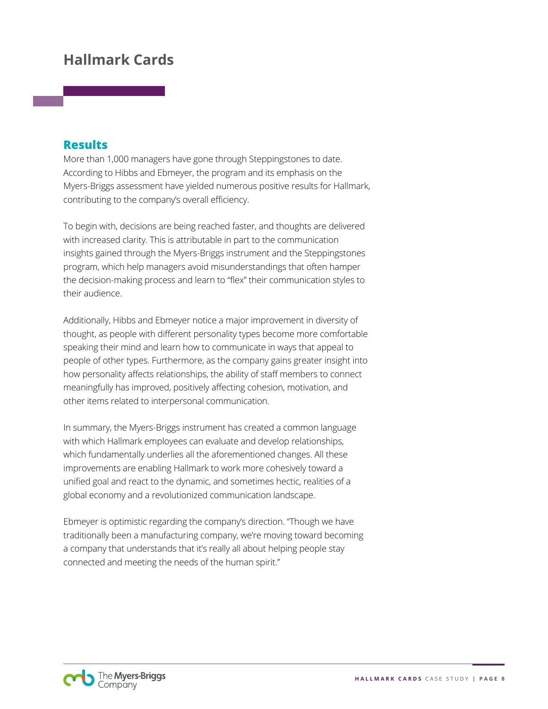### **Results**

More than 1,000 managers have gone through Steppingstones to date. According to Hibbs and Ebmeyer, the program and its emphasis on the Myers-Briggs assessment have yielded numerous positive results for Hallmark, contributing to the company's overall efficiency.

To begin with, decisions are being reached faster, and thoughts are delivered with increased clarity. This is attributable in part to the communication insights gained through the Myers-Briggs instrument and the Steppingstones program, which help managers avoid misunderstandings that often hamper the decision-making process and learn to "flex" their communication styles to their audience.

Additionally, Hibbs and Ebmeyer notice a major improvement in diversity of thought, as people with different personality types become more comfortable speaking their mind and learn how to communicate in ways that appeal to people of other types. Furthermore, as the company gains greater insight into how personality affects relationships, the ability of staff members to connect meaningfully has improved, positively affecting cohesion, motivation, and other items related to interpersonal communication.

In summary, the Myers-Briggs instrument has created a common language with which Hallmark employees can evaluate and develop relationships, which fundamentally underlies all the aforementioned changes. All these improvements are enabling Hallmark to work more cohesively toward a unified goal and react to the dynamic, and sometimes hectic, realities of a global economy and a revolutionized communication landscape.

Ebmeyer is optimistic regarding the company's direction. "Though we have traditionally been a manufacturing company, we're moving toward becoming a company that understands that it's really all about helping people stay connected and meeting the needs of the human spirit."